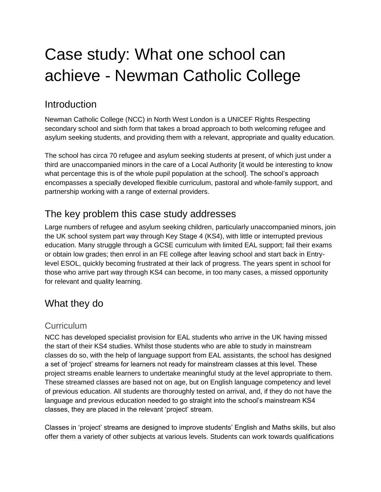# Case study: What one school can achieve - Newman Catholic College

## Introduction

Newman Catholic College (NCC) in North West London is a UNICEF Rights Respecting secondary school and sixth form that takes a broad approach to both welcoming refugee and asylum seeking students, and providing them with a relevant, appropriate and quality education.

The school has circa 70 refugee and asylum seeking students at present, of which just under a third are unaccompanied minors in the care of a Local Authority [it would be interesting to know what percentage this is of the whole pupil population at the school]. The school's approach encompasses a specially developed flexible curriculum, pastoral and whole-family support, and partnership working with a range of external providers.

# The key problem this case study addresses

Large numbers of refugee and asylum seeking children, particularly unaccompanied minors, join the UK school system part way through Key Stage 4 (KS4), with little or interrupted previous education. Many struggle through a GCSE curriculum with limited EAL support; fail their exams or obtain low grades; then enrol in an FE college after leaving school and start back in Entrylevel ESOL, quickly becoming frustrated at their lack of progress. The years spent in school for those who arrive part way through KS4 can become, in too many cases, a missed opportunity for relevant and quality learning.

# What they do

## **Curriculum**

NCC has developed specialist provision for EAL students who arrive in the UK having missed the start of their KS4 studies. Whilst those students who are able to study in mainstream classes do so, with the help of language support from EAL assistants, the school has designed a set of 'project' streams for learners not ready for mainstream classes at this level. These project streams enable learners to undertake meaningful study at the level appropriate to them. These streamed classes are based not on age, but on English language competency and level of previous education. All students are thoroughly tested on arrival, and, if they do not have the language and previous education needed to go straight into the school's mainstream KS4 classes, they are placed in the relevant 'project' stream.

Classes in 'project' streams are designed to improve students' English and Maths skills, but also offer them a variety of other subjects at various levels. Students can work towards qualifications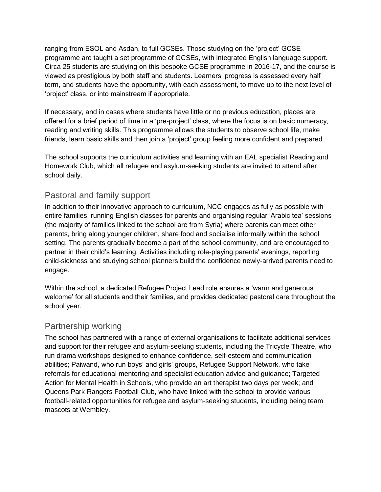ranging from ESOL and Asdan, to full GCSEs. Those studying on the 'project' GCSE programme are taught a set programme of GCSEs, with integrated English language support. Circa 25 students are studying on this bespoke GCSE programme in 2016-17, and the course is viewed as prestigious by both staff and students. Learners' progress is assessed every half term, and students have the opportunity, with each assessment, to move up to the next level of 'project' class, or into mainstream if appropriate.

If necessary, and in cases where students have little or no previous education, places are offered for a brief period of time in a 'pre-project' class, where the focus is on basic numeracy, reading and writing skills. This programme allows the students to observe school life, make friends, learn basic skills and then join a 'project' group feeling more confident and prepared.

The school supports the curriculum activities and learning with an EAL specialist Reading and Homework Club, which all refugee and asylum-seeking students are invited to attend after school daily.

### Pastoral and family support

In addition to their innovative approach to curriculum, NCC engages as fully as possible with entire families, running English classes for parents and organising regular 'Arabic tea' sessions (the majority of families linked to the school are from Syria) where parents can meet other parents, bring along younger children, share food and socialise informally within the school setting. The parents gradually become a part of the school community, and are encouraged to partner in their child's learning. Activities including role-playing parents' evenings, reporting child-sickness and studying school planners build the confidence newly-arrived parents need to engage.

Within the school, a dedicated Refugee Project Lead role ensures a 'warm and generous welcome' for all students and their families, and provides dedicated pastoral care throughout the school year.

### Partnership working

The school has partnered with a range of external organisations to facilitate additional services and support for their refugee and asylum-seeking students, including the Tricycle Theatre, who run drama workshops designed to enhance confidence, self-esteem and communication abilities; Paiwand, who run boys' and girls' groups, Refugee Support Network, who take referrals for educational mentoring and specialist education advice and guidance; Targeted Action for Mental Health in Schools, who provide an art therapist two days per week; and Queens Park Rangers Football Club, who have linked with the school to provide various football-related opportunities for refugee and asylum-seeking students, including being team mascots at Wembley.